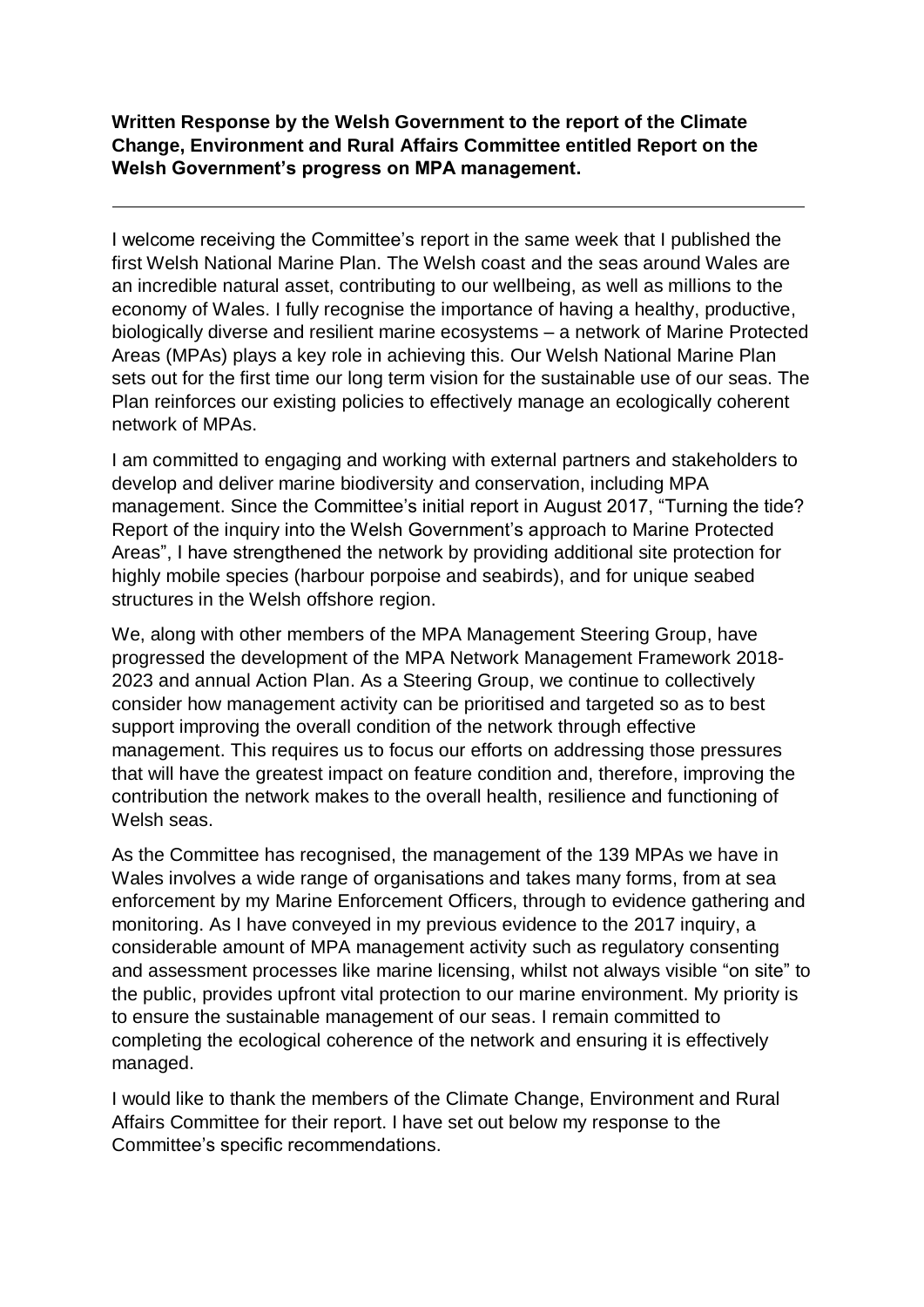**Written Response by the Welsh Government to the report of the Climate Change, Environment and Rural Affairs Committee entitled Report on the Welsh Government's progress on MPA management.**

 $\overline{a}$ 

I welcome receiving the Committee's report in the same week that I published the first Welsh National Marine Plan. The Welsh coast and the seas around Wales are an incredible natural asset, contributing to our wellbeing, as well as millions to the economy of Wales. I fully recognise the importance of having a healthy, productive, biologically diverse and resilient marine ecosystems – a network of Marine Protected Areas (MPAs) plays a key role in achieving this. Our Welsh National Marine Plan sets out for the first time our long term vision for the sustainable use of our seas. The Plan reinforces our existing policies to effectively manage an ecologically coherent network of MPAs.

I am committed to engaging and working with external partners and stakeholders to develop and deliver marine biodiversity and conservation, including MPA management. Since the Committee's initial report in August 2017, "Turning the tide? Report of the inquiry into the Welsh Government's approach to Marine Protected Areas", I have strengthened the network by providing additional site protection for highly mobile species (harbour porpoise and seabirds), and for unique seabed structures in the Welsh offshore region.

We, along with other members of the MPA Management Steering Group, have progressed the development of the MPA Network Management Framework 2018- 2023 and annual Action Plan. As a Steering Group, we continue to collectively consider how management activity can be prioritised and targeted so as to best support improving the overall condition of the network through effective management. This requires us to focus our efforts on addressing those pressures that will have the greatest impact on feature condition and, therefore, improving the contribution the network makes to the overall health, resilience and functioning of Welsh seas.

As the Committee has recognised, the management of the 139 MPAs we have in Wales involves a wide range of organisations and takes many forms, from at sea enforcement by my Marine Enforcement Officers, through to evidence gathering and monitoring. As I have conveyed in my previous evidence to the 2017 inquiry, a considerable amount of MPA management activity such as regulatory consenting and assessment processes like marine licensing, whilst not always visible "on site" to the public, provides upfront vital protection to our marine environment. My priority is to ensure the sustainable management of our seas. I remain committed to completing the ecological coherence of the network and ensuring it is effectively managed.

I would like to thank the members of the Climate Change, Environment and Rural Affairs Committee for their report. I have set out below my response to the Committee's specific recommendations.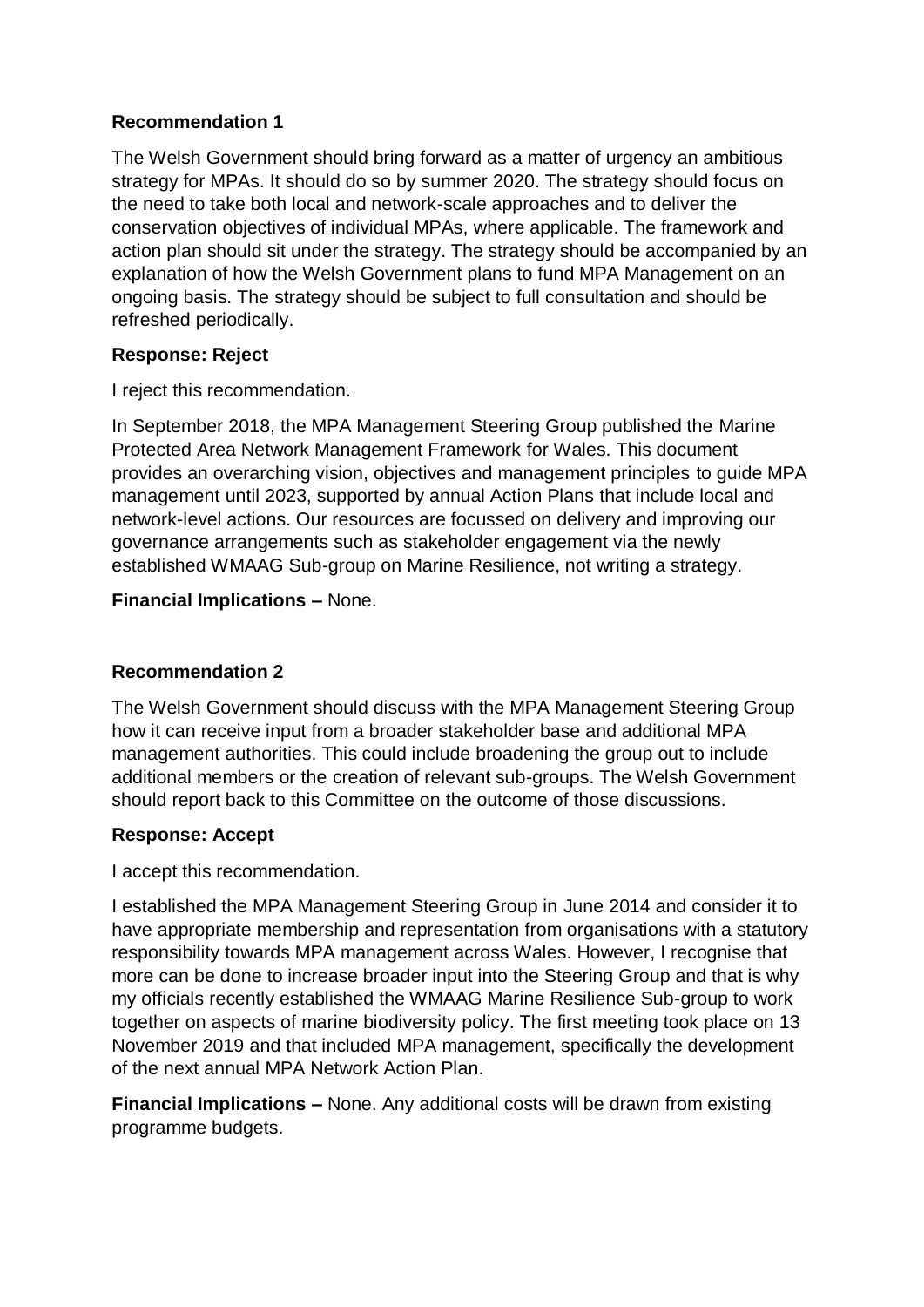# **Recommendation 1**

The Welsh Government should bring forward as a matter of urgency an ambitious strategy for MPAs. It should do so by summer 2020. The strategy should focus on the need to take both local and network-scale approaches and to deliver the conservation objectives of individual MPAs, where applicable. The framework and action plan should sit under the strategy. The strategy should be accompanied by an explanation of how the Welsh Government plans to fund MPA Management on an ongoing basis. The strategy should be subject to full consultation and should be refreshed periodically.

# **Response: Reject**

I reject this recommendation.

In September 2018, the MPA Management Steering Group published the Marine Protected Area Network Management Framework for Wales. This document provides an overarching vision, objectives and management principles to guide MPA management until 2023, supported by annual Action Plans that include local and network-level actions. Our resources are focussed on delivery and improving our governance arrangements such as stakeholder engagement via the newly established WMAAG Sub-group on Marine Resilience, not writing a strategy.

**Financial Implications –** None.

## **Recommendation 2**

The Welsh Government should discuss with the MPA Management Steering Group how it can receive input from a broader stakeholder base and additional MPA management authorities. This could include broadening the group out to include additional members or the creation of relevant sub-groups. The Welsh Government should report back to this Committee on the outcome of those discussions.

## **Response: Accept**

I accept this recommendation.

I established the MPA Management Steering Group in June 2014 and consider it to have appropriate membership and representation from organisations with a statutory responsibility towards MPA management across Wales. However, I recognise that more can be done to increase broader input into the Steering Group and that is why my officials recently established the WMAAG Marine Resilience Sub-group to work together on aspects of marine biodiversity policy. The first meeting took place on 13 November 2019 and that included MPA management, specifically the development of the next annual MPA Network Action Plan.

**Financial Implications –** None. Any additional costs will be drawn from existing programme budgets.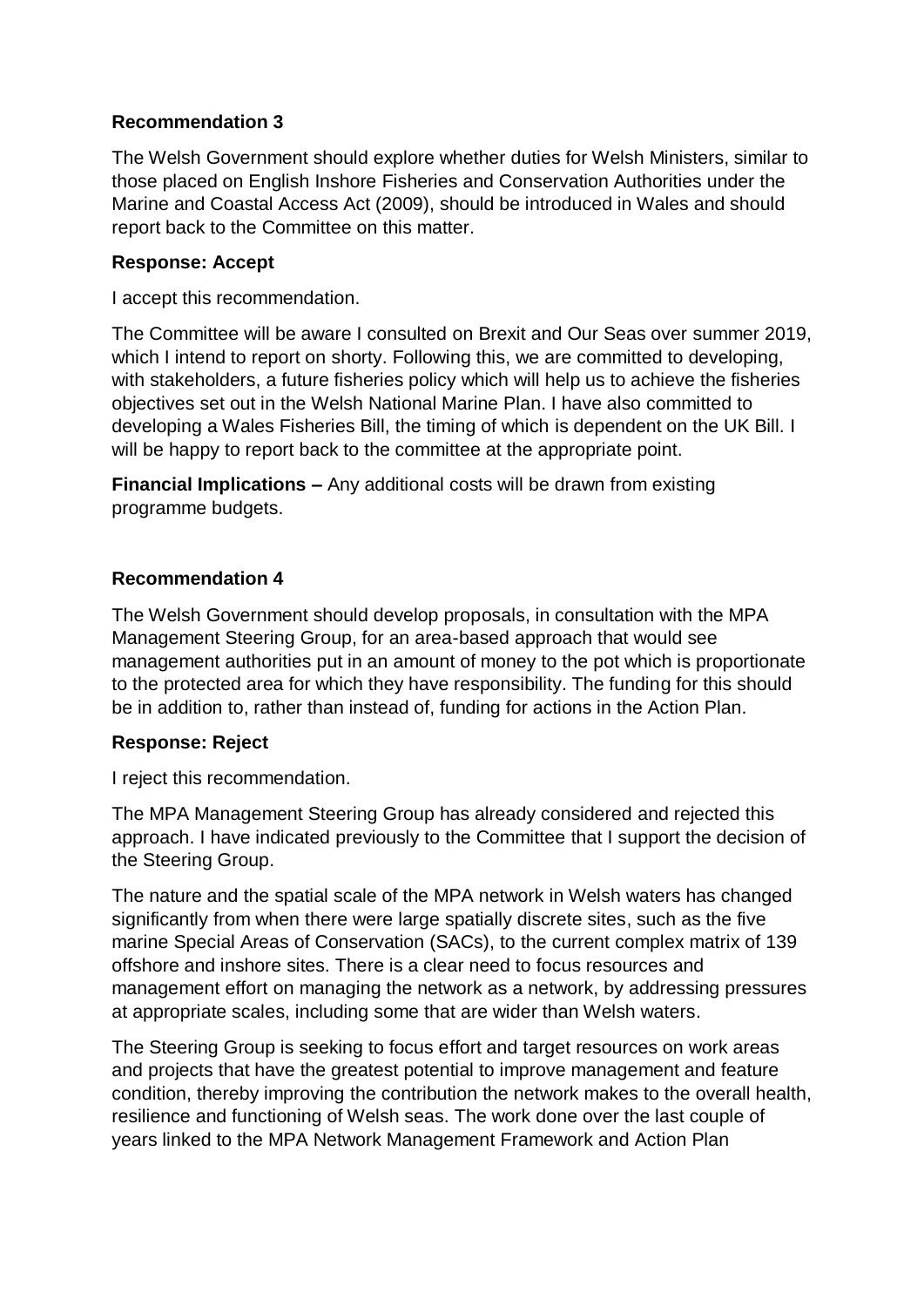## **Recommendation 3**

The Welsh Government should explore whether duties for Welsh Ministers, similar to those placed on English Inshore Fisheries and Conservation Authorities under the Marine and Coastal Access Act (2009), should be introduced in Wales and should report back to the Committee on this matter.

## **Response: Accept**

I accept this recommendation.

The Committee will be aware I consulted on Brexit and Our Seas over summer 2019, which I intend to report on shorty. Following this, we are committed to developing, with stakeholders, a future fisheries policy which will help us to achieve the fisheries objectives set out in the Welsh National Marine Plan. I have also committed to developing a Wales Fisheries Bill, the timing of which is dependent on the UK Bill. I will be happy to report back to the committee at the appropriate point.

**Financial Implications –** Any additional costs will be drawn from existing programme budgets.

#### **Recommendation 4**

The Welsh Government should develop proposals, in consultation with the MPA Management Steering Group, for an area-based approach that would see management authorities put in an amount of money to the pot which is proportionate to the protected area for which they have responsibility. The funding for this should be in addition to, rather than instead of, funding for actions in the Action Plan.

## **Response: Reject**

I reject this recommendation.

The MPA Management Steering Group has already considered and rejected this approach. I have indicated previously to the Committee that I support the decision of the Steering Group.

The nature and the spatial scale of the MPA network in Welsh waters has changed significantly from when there were large spatially discrete sites, such as the five marine Special Areas of Conservation (SACs), to the current complex matrix of 139 offshore and inshore sites. There is a clear need to focus resources and management effort on managing the network as a network, by addressing pressures at appropriate scales, including some that are wider than Welsh waters.

The Steering Group is seeking to focus effort and target resources on work areas and projects that have the greatest potential to improve management and feature condition, thereby improving the contribution the network makes to the overall health, resilience and functioning of Welsh seas. The work done over the last couple of years linked to the MPA Network Management Framework and Action Plan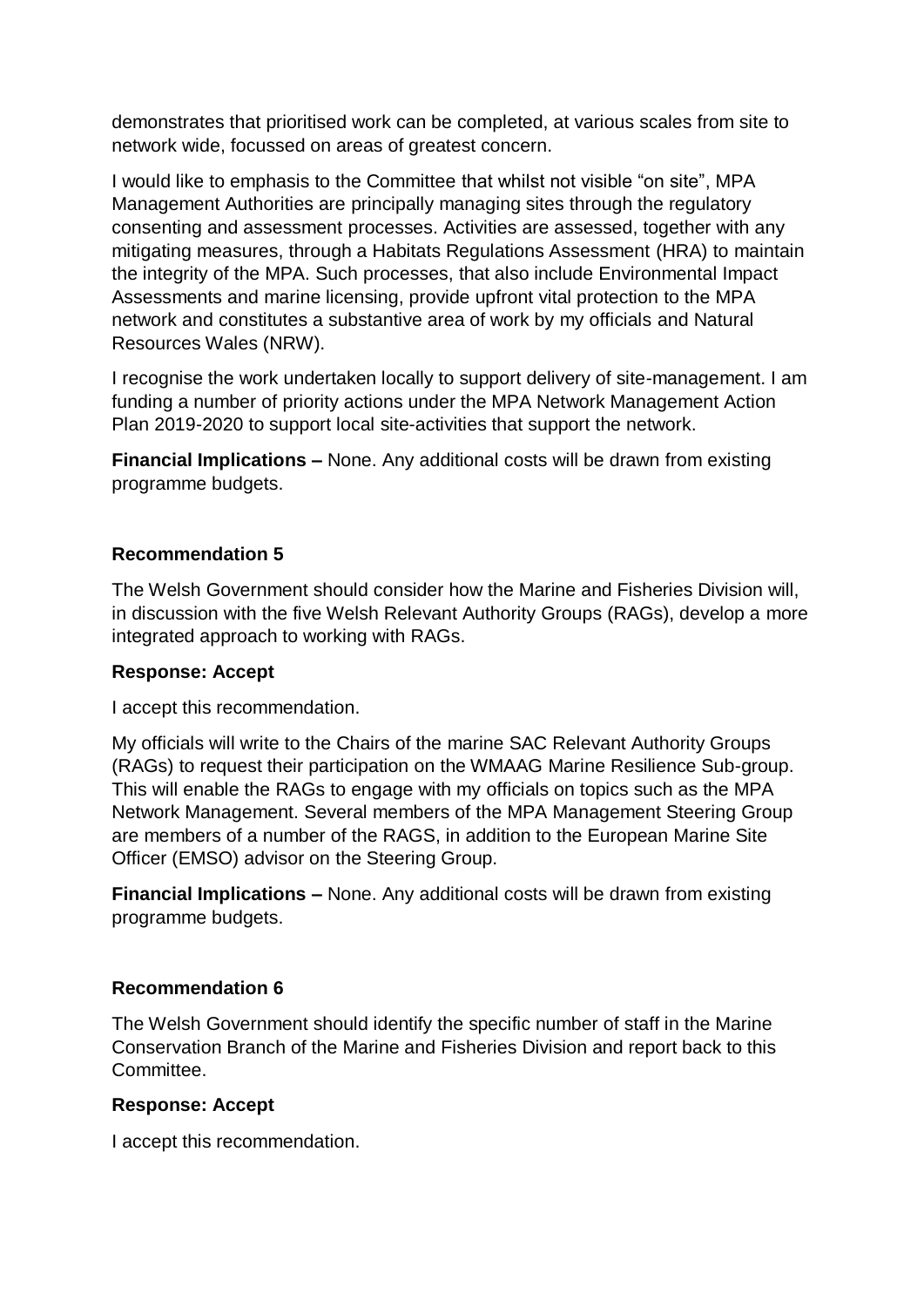demonstrates that prioritised work can be completed, at various scales from site to network wide, focussed on areas of greatest concern.

I would like to emphasis to the Committee that whilst not visible "on site", MPA Management Authorities are principally managing sites through the regulatory consenting and assessment processes. Activities are assessed, together with any mitigating measures, through a Habitats Regulations Assessment (HRA) to maintain the integrity of the MPA. Such processes, that also include Environmental Impact Assessments and marine licensing, provide upfront vital protection to the MPA network and constitutes a substantive area of work by my officials and Natural Resources Wales (NRW).

I recognise the work undertaken locally to support delivery of site-management. I am funding a number of priority actions under the MPA Network Management Action Plan 2019-2020 to support local site-activities that support the network.

**Financial Implications –** None. Any additional costs will be drawn from existing programme budgets.

## **Recommendation 5**

The Welsh Government should consider how the Marine and Fisheries Division will, in discussion with the five Welsh Relevant Authority Groups (RAGs), develop a more integrated approach to working with RAGs.

## **Response: Accept**

I accept this recommendation.

My officials will write to the Chairs of the marine SAC Relevant Authority Groups (RAGs) to request their participation on the WMAAG Marine Resilience Sub-group. This will enable the RAGs to engage with my officials on topics such as the MPA Network Management. Several members of the MPA Management Steering Group are members of a number of the RAGS, in addition to the European Marine Site Officer (EMSO) advisor on the Steering Group.

**Financial Implications –** None. Any additional costs will be drawn from existing programme budgets.

#### **Recommendation 6**

The Welsh Government should identify the specific number of staff in the Marine Conservation Branch of the Marine and Fisheries Division and report back to this Committee.

#### **Response: Accept**

I accept this recommendation.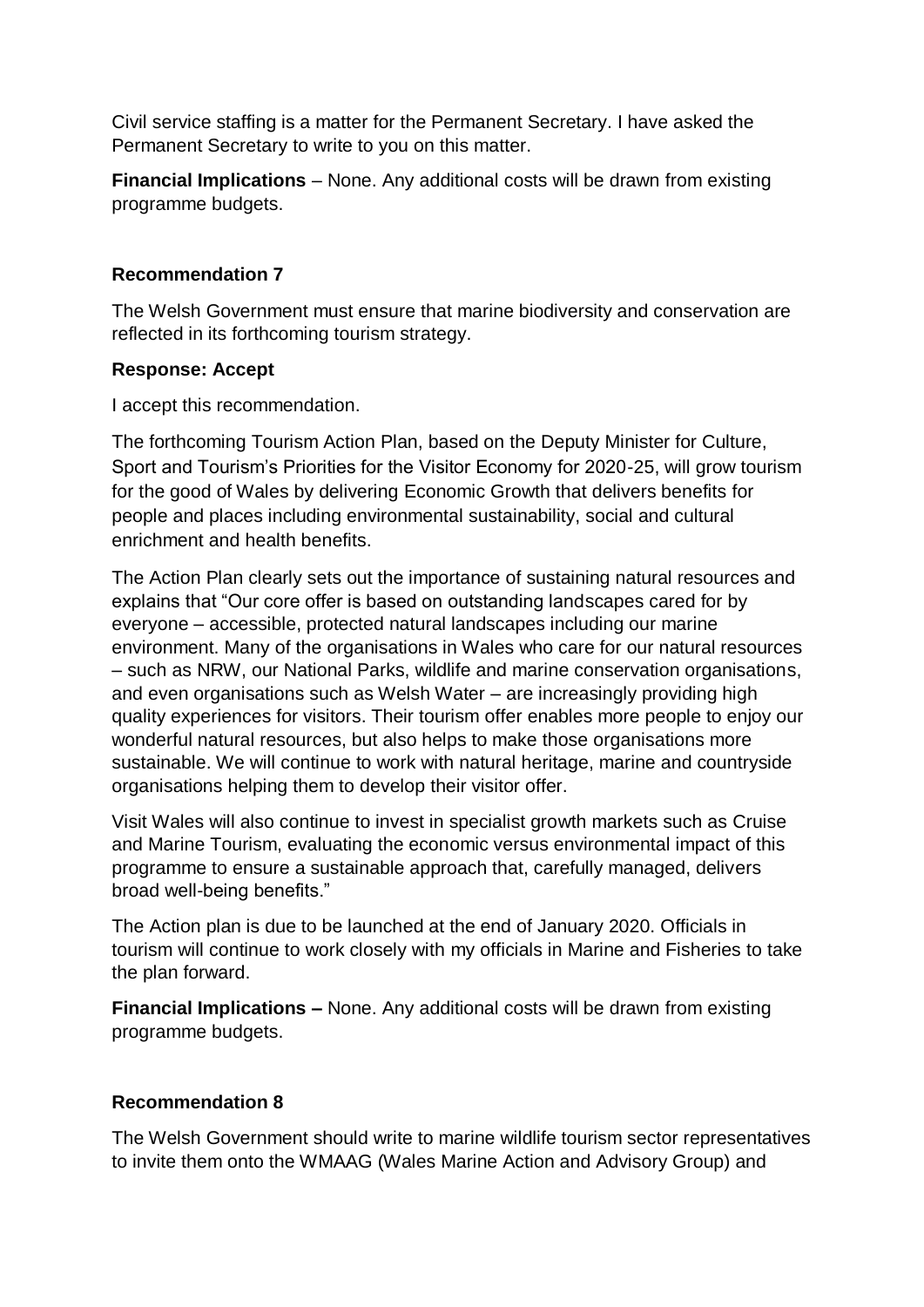Civil service staffing is a matter for the Permanent Secretary. I have asked the Permanent Secretary to write to you on this matter.

**Financial Implications** – None. Any additional costs will be drawn from existing programme budgets.

### **Recommendation 7**

The Welsh Government must ensure that marine biodiversity and conservation are reflected in its forthcoming tourism strategy.

#### **Response: Accept**

I accept this recommendation.

The forthcoming Tourism Action Plan, based on the Deputy Minister for Culture, Sport and Tourism's Priorities for the Visitor Economy for 2020-25, will grow tourism for the good of Wales by delivering Economic Growth that delivers benefits for people and places including environmental sustainability, social and cultural enrichment and health benefits.

The Action Plan clearly sets out the importance of sustaining natural resources and explains that "Our core offer is based on outstanding landscapes cared for by everyone – accessible, protected natural landscapes including our marine environment. Many of the organisations in Wales who care for our natural resources – such as NRW, our National Parks, wildlife and marine conservation organisations, and even organisations such as Welsh Water – are increasingly providing high quality experiences for visitors. Their tourism offer enables more people to enjoy our wonderful natural resources, but also helps to make those organisations more sustainable. We will continue to work with natural heritage, marine and countryside organisations helping them to develop their visitor offer.

Visit Wales will also continue to invest in specialist growth markets such as Cruise and Marine Tourism, evaluating the economic versus environmental impact of this programme to ensure a sustainable approach that, carefully managed, delivers broad well-being benefits."

The Action plan is due to be launched at the end of January 2020. Officials in tourism will continue to work closely with my officials in Marine and Fisheries to take the plan forward.

**Financial Implications –** None. Any additional costs will be drawn from existing programme budgets.

## **Recommendation 8**

The Welsh Government should write to marine wildlife tourism sector representatives to invite them onto the WMAAG (Wales Marine Action and Advisory Group) and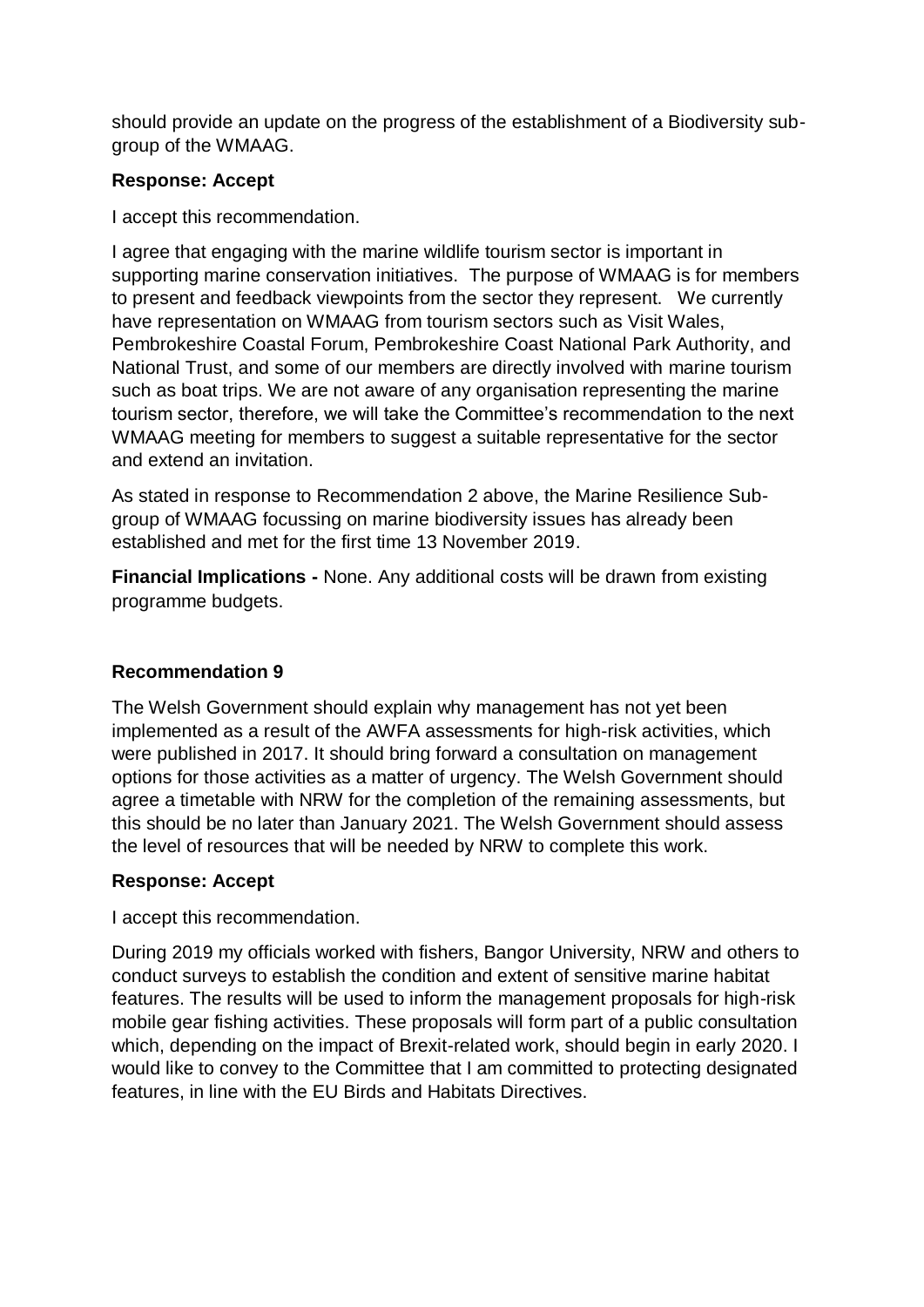should provide an update on the progress of the establishment of a Biodiversity subgroup of the WMAAG.

### **Response: Accept**

I accept this recommendation.

I agree that engaging with the marine wildlife tourism sector is important in supporting marine conservation initiatives. The purpose of WMAAG is for members to present and feedback viewpoints from the sector they represent. We currently have representation on WMAAG from tourism sectors such as Visit Wales, Pembrokeshire Coastal Forum, Pembrokeshire Coast National Park Authority, and National Trust, and some of our members are directly involved with marine tourism such as boat trips. We are not aware of any organisation representing the marine tourism sector, therefore, we will take the Committee's recommendation to the next WMAAG meeting for members to suggest a suitable representative for the sector and extend an invitation.

As stated in response to Recommendation 2 above, the Marine Resilience Subgroup of WMAAG focussing on marine biodiversity issues has already been established and met for the first time 13 November 2019.

**Financial Implications -** None. Any additional costs will be drawn from existing programme budgets.

## **Recommendation 9**

The Welsh Government should explain why management has not yet been implemented as a result of the AWFA assessments for high-risk activities, which were published in 2017. It should bring forward a consultation on management options for those activities as a matter of urgency. The Welsh Government should agree a timetable with NRW for the completion of the remaining assessments, but this should be no later than January 2021. The Welsh Government should assess the level of resources that will be needed by NRW to complete this work.

## **Response: Accept**

I accept this recommendation.

During 2019 my officials worked with fishers, Bangor University, NRW and others to conduct surveys to establish the condition and extent of sensitive marine habitat features. The results will be used to inform the management proposals for high-risk mobile gear fishing activities. These proposals will form part of a public consultation which, depending on the impact of Brexit-related work, should begin in early 2020. I would like to convey to the Committee that I am committed to protecting designated features, in line with the EU Birds and Habitats Directives.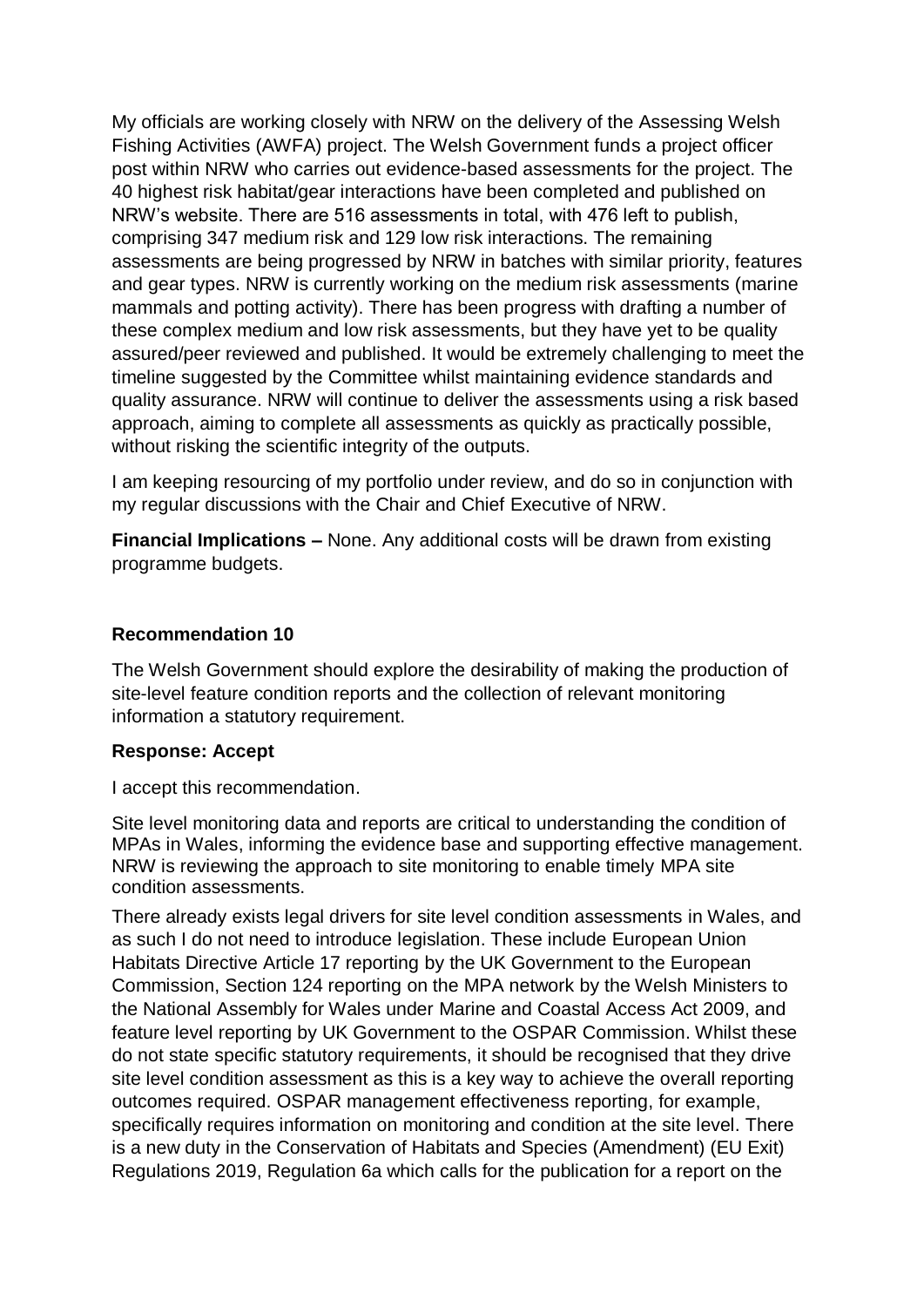My officials are working closely with NRW on the delivery of the Assessing Welsh Fishing Activities (AWFA) project. The Welsh Government funds a project officer post within NRW who carries out evidence-based assessments for the project. The 40 highest risk habitat/gear interactions have been completed and published on NRW's website. There are 516 assessments in total, with 476 left to publish, comprising 347 medium risk and 129 low risk interactions. The remaining assessments are being progressed by NRW in batches with similar priority, features and gear types. NRW is currently working on the medium risk assessments (marine mammals and potting activity). There has been progress with drafting a number of these complex medium and low risk assessments, but they have yet to be quality assured/peer reviewed and published. It would be extremely challenging to meet the timeline suggested by the Committee whilst maintaining evidence standards and quality assurance. NRW will continue to deliver the assessments using a risk based approach, aiming to complete all assessments as quickly as practically possible, without risking the scientific integrity of the outputs.

I am keeping resourcing of my portfolio under review, and do so in conjunction with my regular discussions with the Chair and Chief Executive of NRW.

**Financial Implications –** None. Any additional costs will be drawn from existing programme budgets.

#### **Recommendation 10**

The Welsh Government should explore the desirability of making the production of site-level feature condition reports and the collection of relevant monitoring information a statutory requirement.

#### **Response: Accept**

I accept this recommendation.

Site level monitoring data and reports are critical to understanding the condition of MPAs in Wales, informing the evidence base and supporting effective management. NRW is reviewing the approach to site monitoring to enable timely MPA site condition assessments.

There already exists legal drivers for site level condition assessments in Wales, and as such I do not need to introduce legislation. These include European Union Habitats Directive Article 17 reporting by the UK Government to the European Commission, Section 124 reporting on the MPA network by the Welsh Ministers to the National Assembly for Wales under Marine and Coastal Access Act 2009, and feature level reporting by UK Government to the OSPAR Commission. Whilst these do not state specific statutory requirements, it should be recognised that they drive site level condition assessment as this is a key way to achieve the overall reporting outcomes required. OSPAR management effectiveness reporting, for example, specifically requires information on monitoring and condition at the site level. There is a new duty in the Conservation of Habitats and Species (Amendment) (EU Exit) Regulations 2019, Regulation 6a which calls for the publication for a report on the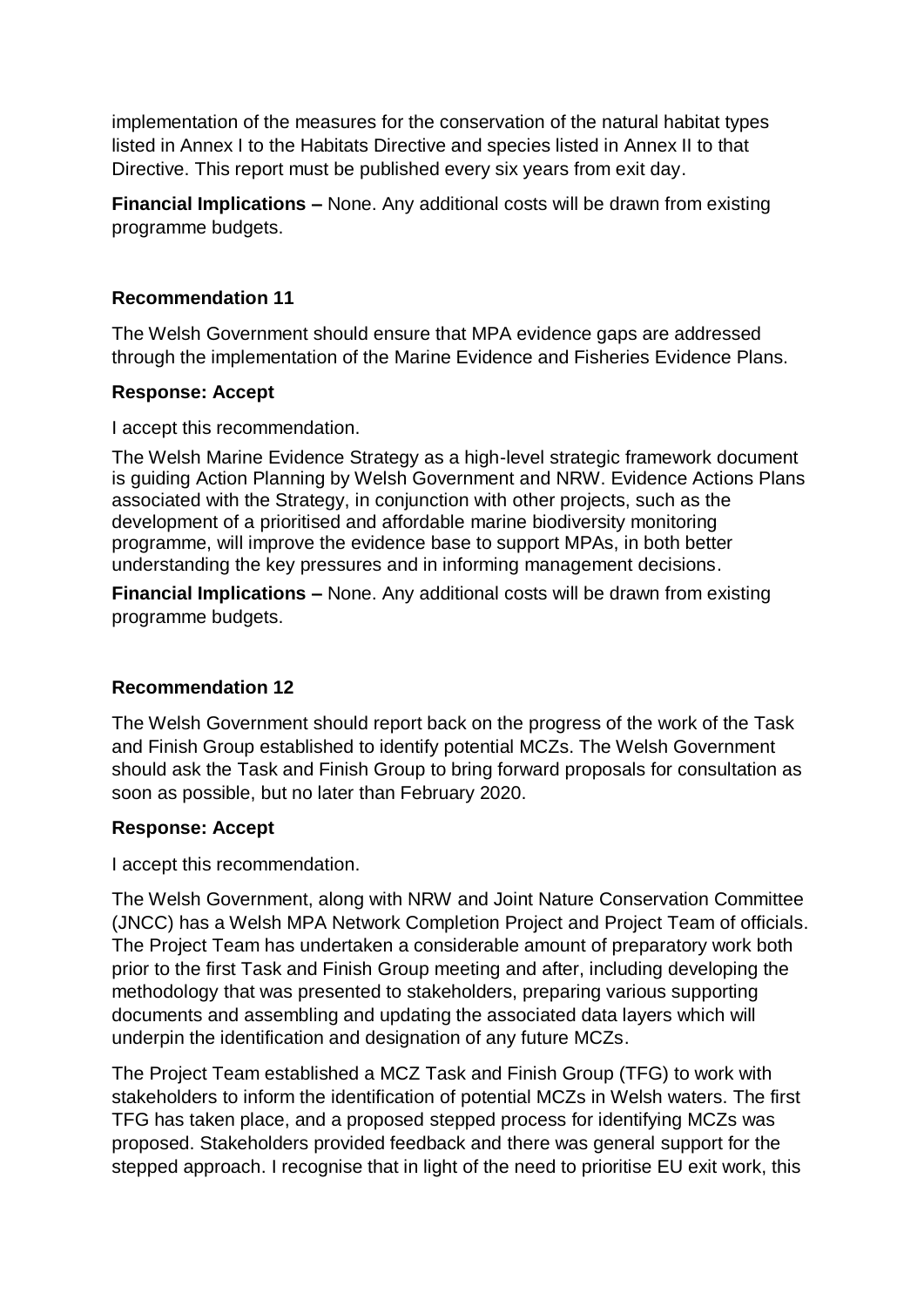implementation of the measures for the conservation of the natural habitat types listed in Annex I to the Habitats Directive and species listed in Annex II to that Directive. This report must be published every six years from exit day.

**Financial Implications –** None. Any additional costs will be drawn from existing programme budgets.

### **Recommendation 11**

The Welsh Government should ensure that MPA evidence gaps are addressed through the implementation of the Marine Evidence and Fisheries Evidence Plans.

#### **Response: Accept**

I accept this recommendation.

The Welsh Marine Evidence Strategy as a high-level strategic framework document is guiding Action Planning by Welsh Government and NRW. Evidence Actions Plans associated with the Strategy, in conjunction with other projects, such as the development of a prioritised and affordable marine biodiversity monitoring programme, will improve the evidence base to support MPAs, in both better understanding the key pressures and in informing management decisions.

**Financial Implications –** None. Any additional costs will be drawn from existing programme budgets.

#### **Recommendation 12**

The Welsh Government should report back on the progress of the work of the Task and Finish Group established to identify potential MCZs. The Welsh Government should ask the Task and Finish Group to bring forward proposals for consultation as soon as possible, but no later than February 2020.

#### **Response: Accept**

I accept this recommendation.

The Welsh Government, along with NRW and Joint Nature Conservation Committee (JNCC) has a Welsh MPA Network Completion Project and Project Team of officials. The Project Team has undertaken a considerable amount of preparatory work both prior to the first Task and Finish Group meeting and after, including developing the methodology that was presented to stakeholders, preparing various supporting documents and assembling and updating the associated data layers which will underpin the identification and designation of any future MCZs.

The Project Team established a MCZ Task and Finish Group (TFG) to work with stakeholders to inform the identification of potential MCZs in Welsh waters. The first TFG has taken place, and a proposed stepped process for identifying MCZs was proposed. Stakeholders provided feedback and there was general support for the stepped approach. I recognise that in light of the need to prioritise EU exit work, this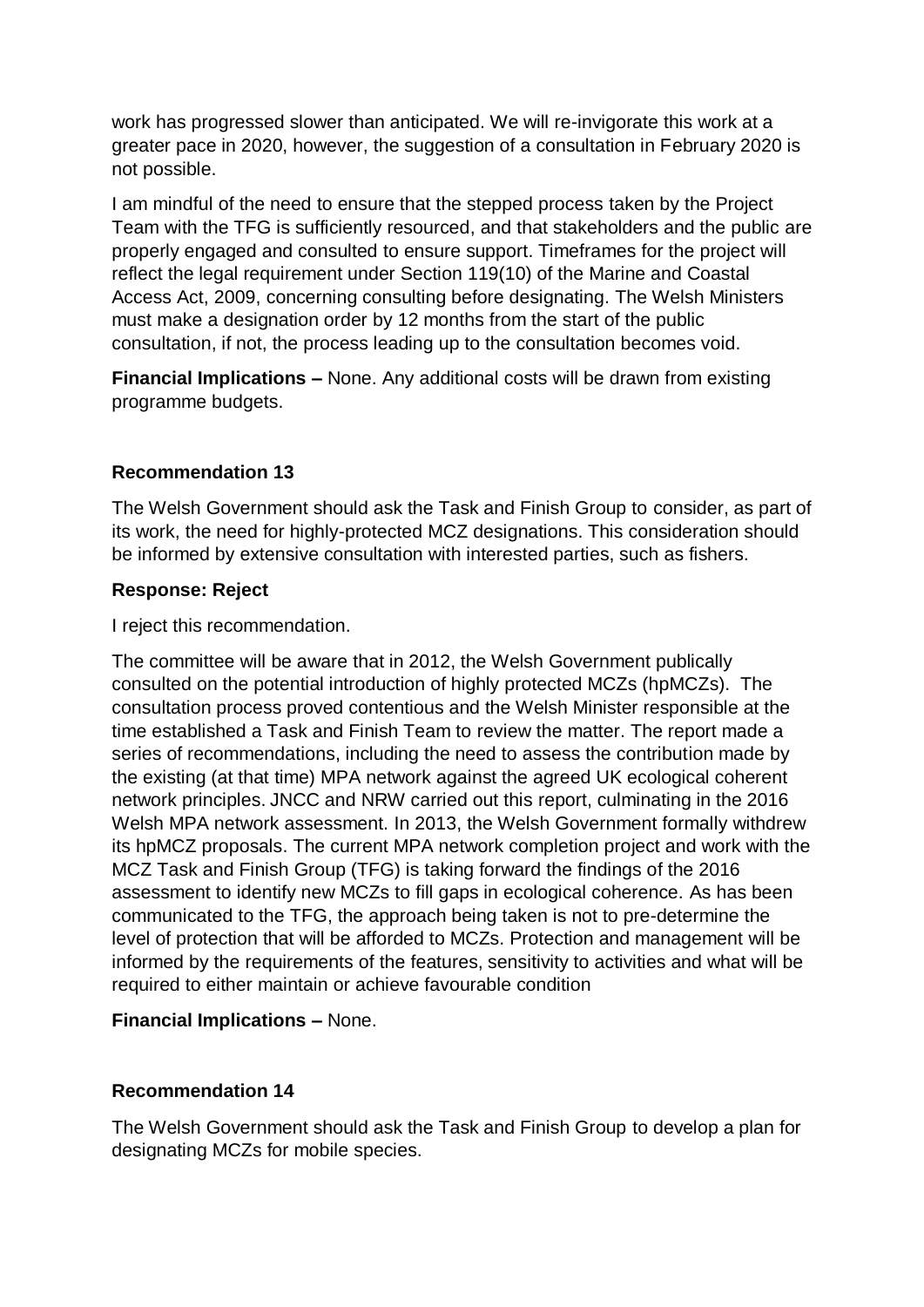work has progressed slower than anticipated. We will re-invigorate this work at a greater pace in 2020, however, the suggestion of a consultation in February 2020 is not possible.

I am mindful of the need to ensure that the stepped process taken by the Project Team with the TFG is sufficiently resourced, and that stakeholders and the public are properly engaged and consulted to ensure support. Timeframes for the project will reflect the legal requirement under Section 119(10) of the Marine and Coastal Access Act, 2009, concerning consulting before designating. The Welsh Ministers must make a designation order by 12 months from the start of the public consultation, if not, the process leading up to the consultation becomes void.

**Financial Implications –** None. Any additional costs will be drawn from existing programme budgets.

#### **Recommendation 13**

The Welsh Government should ask the Task and Finish Group to consider, as part of its work, the need for highly-protected MCZ designations. This consideration should be informed by extensive consultation with interested parties, such as fishers.

#### **Response: Reject**

I reject this recommendation.

The committee will be aware that in 2012, the Welsh Government publically consulted on the potential introduction of highly protected MCZs (hpMCZs). The consultation process proved contentious and the Welsh Minister responsible at the time established a Task and Finish Team to review the matter. The report made a series of recommendations, including the need to assess the contribution made by the existing (at that time) MPA network against the agreed UK ecological coherent network principles. JNCC and NRW carried out this report, culminating in the 2016 Welsh MPA network assessment. In 2013, the Welsh Government formally withdrew its hpMCZ proposals. The current MPA network completion project and work with the MCZ Task and Finish Group (TFG) is taking forward the findings of the 2016 assessment to identify new MCZs to fill gaps in ecological coherence. As has been communicated to the TFG, the approach being taken is not to pre-determine the level of protection that will be afforded to MCZs. Protection and management will be informed by the requirements of the features, sensitivity to activities and what will be required to either maintain or achieve favourable condition

## **Financial Implications –** None.

#### **Recommendation 14**

The Welsh Government should ask the Task and Finish Group to develop a plan for designating MCZs for mobile species.